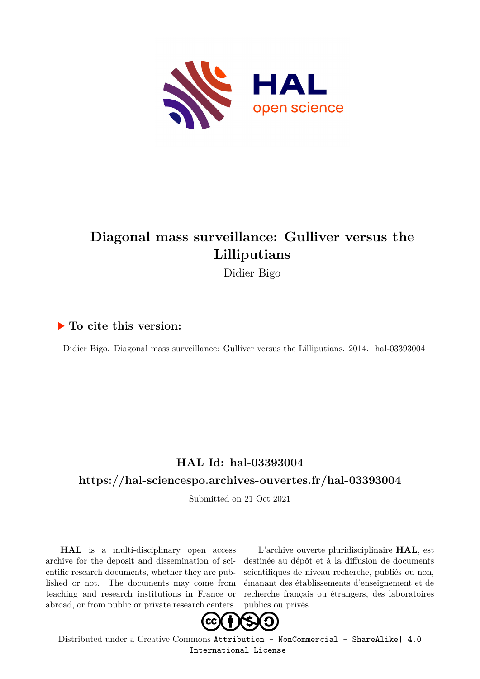

## **Diagonal mass surveillance: Gulliver versus the Lilliputians**

Didier Bigo

### **To cite this version:**

Didier Bigo. Diagonal mass surveillance: Gulliver versus the Lilliputians. 2014. hal-03393004

## **HAL Id: hal-03393004**

## **<https://hal-sciencespo.archives-ouvertes.fr/hal-03393004>**

Submitted on 21 Oct 2021

**HAL** is a multi-disciplinary open access archive for the deposit and dissemination of scientific research documents, whether they are published or not. The documents may come from teaching and research institutions in France or abroad, or from public or private research centers.

L'archive ouverte pluridisciplinaire **HAL**, est destinée au dépôt et à la diffusion de documents scientifiques de niveau recherche, publiés ou non, émanant des établissements d'enseignement et de recherche français ou étrangers, des laboratoires publics ou privés.



Distributed under a Creative Commons [Attribution - NonCommercial - ShareAlike| 4.0](http://creativecommons.org/licenses/by-nc-sa/4.0/) [International License](http://creativecommons.org/licenses/by-nc-sa/4.0/)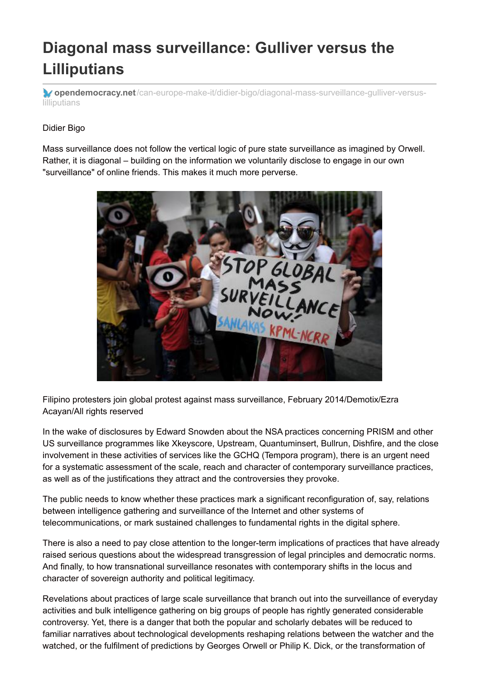# **Diagonal mass surveillance: Gulliver versus the Lilliputians**

**opendemocracy.net**[/can-europe-make-it/didier-bigo/diagonal-mass-surveillance-gulliver-versus](https://www.opendemocracy.net/can-europe-make-it/didier-bigo/diagonal-mass-surveillance-gulliver-versus-lilliputians)lilliputians

#### Didier Bigo

Mass surveillance does not follow the vertical logic of pure state surveillance as imagined by Orwell. Rather, it is diagonal – building on the information we voluntarily disclose to engage in our own "surveillance" of online friends. This makes it much more perverse.



Filipino protesters join global protest against mass surveillance, February 2014/Demotix/Ezra Acayan/All rights reserved

In the wake of disclosures by Edward Snowden about the NSA practices concerning PRISM and other US surveillance programmes like Xkeyscore, Upstream, Quantuminsert, Bullrun, Dishfire, and the close involvement in these activities of services like the GCHQ (Tempora program), there is an urgent need for a systematic assessment of the scale, reach and character of contemporary surveillance practices, as well as of the justifications they attract and the controversies they provoke.

The public needs to know whether these practices mark a significant reconfiguration of, say, relations between intelligence gathering and surveillance of the Internet and other systems of telecommunications, or mark sustained challenges to fundamental rights in the digital sphere.

There is also a need to pay close attention to the longer-term implications of practices that have already raised serious questions about the widespread transgression of legal principles and democratic norms. And finally, to how transnational surveillance resonates with contemporary shifts in the locus and character of sovereign authority and political legitimacy.

Revelations about practices of large scale surveillance that branch out into the surveillance of everyday activities and bulk intelligence gathering on big groups of people has rightly generated considerable controversy. Yet, there is a danger that both the popular and scholarly debates will be reduced to familiar narratives about technological developments reshaping relations between the watcher and the watched, or the fulfilment of predictions by Georges Orwell or Philip K. Dick, or the transformation of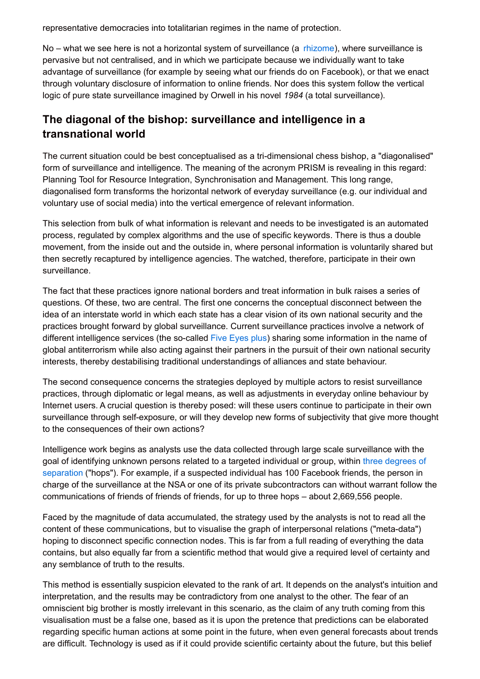representative democracies into totalitarian regimes in the name of protection.

No – what we see here is not a horizontal system of surveillance (a [rhizome](http://en.wikipedia.org/wiki/Rhizome_(philosophy))), where surveillance is pervasive but not centralised, and in which we participate because we individually want to take advantage of surveillance (for example by seeing what our friends do on Facebook), or that we enact through voluntary disclosure of information to online friends. Nor does this system follow the vertical logic of pure state surveillance imagined by Orwell in his novel *1984* (a total surveillance).

## **The diagonal of the bishop: surveillance and intelligence in a transnational world**

The current situation could be best conceptualised as a tri-dimensional chess bishop, a "diagonalised" form of surveillance and intelligence. The meaning of the acronym PRISM is revealing in this regard: Planning Tool for Resource Integration, Synchronisation and Management. This long range, diagonalised form transforms the horizontal network of everyday surveillance (e.g. our individual and voluntary use of social media) into the vertical emergence of relevant information.

This selection from bulk of what information is relevant and needs to be investigated is an automated process, regulated by complex algorithms and the use of specific keywords. There is thus a double movement, from the inside out and the outside in, where personal information is voluntarily shared but then secretly recaptured by intelligence agencies. The watched, therefore, participate in their own surveillance.

The fact that these practices ignore national borders and treat information in bulk raises a series of questions. Of these, two are central. The first one concerns the conceptual disconnect between the idea of an interstate world in which each state has a clear vision of its own national security and the practices brought forward by global surveillance. Current surveillance practices involve a network of different intelligence services (the so-called Five [Eyes](http://en.wikipedia.org/wiki/UKUSA_Agreement) plus) sharing some information in the name of global antiterrorism while also acting against their partners in the pursuit of their own national security interests, thereby destabilising traditional understandings of alliances and state behaviour.

The second consequence concerns the strategies deployed by multiple actors to resist surveillance practices, through diplomatic or legal means, as well as adjustments in everyday online behaviour by Internet users. A crucial question is thereby posed: will these users continue to participate in their own surveillance through self-exposure, or will they develop new forms of subjectivity that give more thought to the consequences of their own actions?

Intelligence work begins as analysts use the data collected through large scale surveillance with the goal of identifying unknown persons related to a targeted individual or group, within three degrees of [separation](http://www.theguardian.com/world/interactive/2013/oct/28/nsa-files-decoded-hops) ("hops"). For example, if a suspected individual has 100 Facebook friends, the person in charge of the surveillance at the NSA or one of its private subcontractors can without warrant follow the communications of friends of friends of friends, for up to three hops – about 2,669,556 people.

Faced by the magnitude of data accumulated, the strategy used by the analysts is not to read all the content of these communications, but to visualise the graph of interpersonal relations ("meta-data") hoping to disconnect specific connection nodes. This is far from a full reading of everything the data contains, but also equally far from a scientific method that would give a required level of certainty and any semblance of truth to the results.

This method is essentially suspicion elevated to the rank of art. It depends on the analyst's intuition and interpretation, and the results may be contradictory from one analyst to the other. The fear of an omniscient big brother is mostly irrelevant in this scenario, as the claim of any truth coming from this visualisation must be a false one, based as it is upon the pretence that predictions can be elaborated regarding specific human actions at some point in the future, when even general forecasts about trends are difficult. Technology is used as if it could provide scientific certainty about the future, but this belief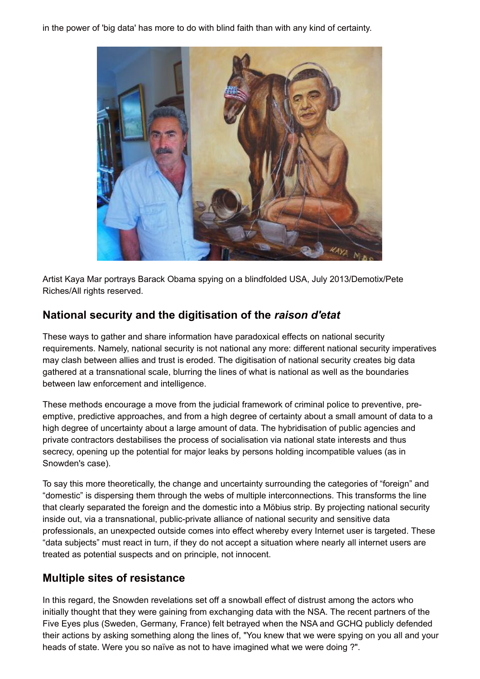in the power of 'big data' has more to do with blind faith than with any kind of certainty.



Artist Kaya Mar portrays Barack Obama spying on a blindfolded USA, July 2013/Demotix/Pete Riches/All rights reserved.

## **National security and the digitisation of the** *raison d'etat*

These ways to gather and share information have paradoxical effects on national security requirements. Namely, national security is not national any more: different national security imperatives may clash between allies and trust is eroded. The digitisation of national security creates big data gathered at a transnational scale, blurring the lines of what is national as well as the boundaries between law enforcement and intelligence.

These methods encourage a move from the judicial framework of criminal police to preventive, preemptive, predictive approaches, and from a high degree of certainty about a small amount of data to a high degree of uncertainty about a large amount of data. The hybridisation of public agencies and private contractors destabilises the process of socialisation via national state interests and thus secrecy, opening up the potential for major leaks by persons holding incompatible values (as in Snowden's case).

To say this more theoretically, the change and uncertainty surrounding the categories of "foreign" and "domestic" is dispersing them through the webs of multiple interconnections. This transforms the line that clearly separated the foreign and the domestic into a Möbius strip. By projecting national security inside out, via a transnational, public-private alliance of national security and sensitive data professionals, an unexpected outside comes into effect whereby every Internet user is targeted. These "data subjects" must react in turn, if they do not accept a situation where nearly all internet users are treated as potential suspects and on principle, not innocent.

## **Multiple sites of resistance**

In this regard, the Snowden revelations set off a snowball effect of distrust among the actors who initially thought that they were gaining from exchanging data with the NSA. The recent partners of the Five Eyes plus (Sweden, Germany, France) felt betrayed when the NSA and GCHQ publicly defended their actions by asking something along the lines of, "You knew that we were spying on you all and your heads of state. Were you so naïve as not to have imagined what we were doing ?".